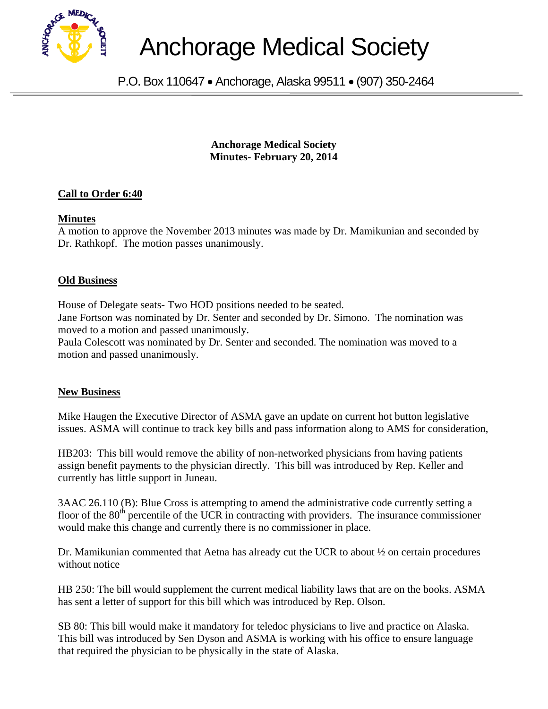

# Anchorage Medical Society

P.O. Box 110647 • Anchorage, Alaska 99511 • (907) 350-2464

**Anchorage Medical Society Minutes- February 20, 2014** 

# **Call to Order 6:40**

### **Minutes**

A motion to approve the November 2013 minutes was made by Dr. Mamikunian and seconded by Dr. Rathkopf. The motion passes unanimously.

# **Old Business**

House of Delegate seats- Two HOD positions needed to be seated. Jane Fortson was nominated by Dr. Senter and seconded by Dr. Simono. The nomination was moved to a motion and passed unanimously.

Paula Colescott was nominated by Dr. Senter and seconded. The nomination was moved to a motion and passed unanimously.

### **New Business**

Mike Haugen the Executive Director of ASMA gave an update on current hot button legislative issues. ASMA will continue to track key bills and pass information along to AMS for consideration,

HB203: This bill would remove the ability of non-networked physicians from having patients assign benefit payments to the physician directly. This bill was introduced by Rep. Keller and currently has little support in Juneau.

3AAC 26.110 (B): Blue Cross is attempting to amend the administrative code currently setting a floor of the  $80<sup>th</sup>$  percentile of the UCR in contracting with providers. The insurance commissioner would make this change and currently there is no commissioner in place.

Dr. Mamikunian commented that Aetna has already cut the UCR to about ½ on certain procedures without notice

HB 250: The bill would supplement the current medical liability laws that are on the books. ASMA has sent a letter of support for this bill which was introduced by Rep. Olson.

SB 80: This bill would make it mandatory for teledoc physicians to live and practice on Alaska. This bill was introduced by Sen Dyson and ASMA is working with his office to ensure language that required the physician to be physically in the state of Alaska.